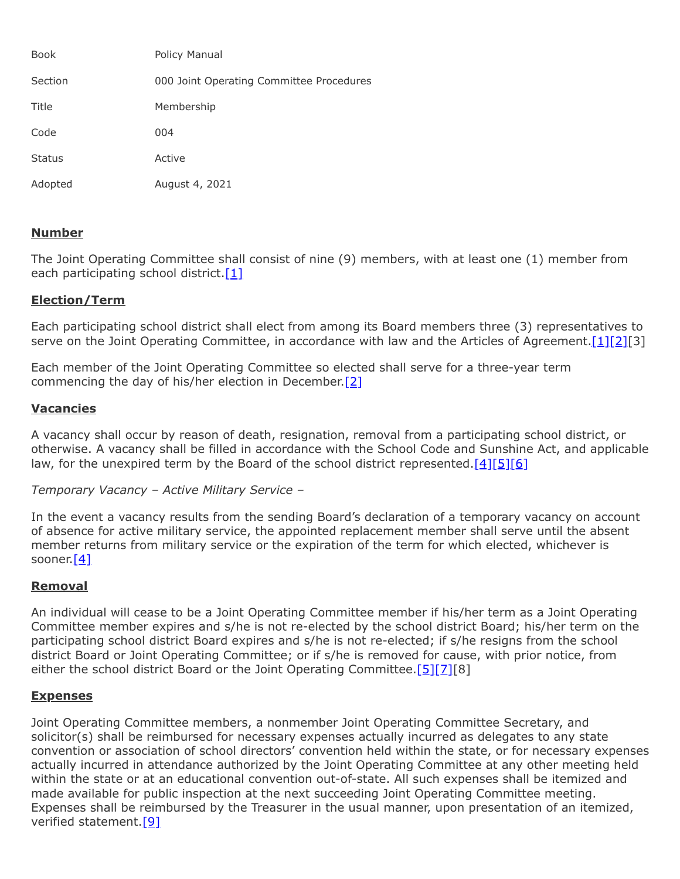| <b>Book</b>   | Policy Manual                            |
|---------------|------------------------------------------|
| Section       | 000 Joint Operating Committee Procedures |
| Title         | Membership                               |
| Code          | 004                                      |
| <b>Status</b> | Active                                   |
| Adopted       | August 4, 2021                           |

# **Number**

The Joint Operating Committee shall consist of nine (9) members, with at least one (1) member from each participating school district.[\[1\]](http://www.legis.state.pa.us/cfdocs/legis/LI/uconsCheck.cfm?txtType=HTM&yr=1949&sessInd=0&smthLwInd=0&act=14&chpt=18&sctn=50&subsctn=1)

### **Election/Term**

Each participating school district shall elect from among its Board members three (3) representatives to serve on the Joint Operating Committee, in accordance with law and the Articles of Agreement.[\[1\]](http://www.legis.state.pa.us/cfdocs/legis/LI/uconsCheck.cfm?txtType=HTM&yr=1949&sessInd=0&smthLwInd=0&act=14&chpt=18&sctn=50&subsctn=1)[\[2\]](http://www.legis.state.pa.us/cfdocs/legis/LI/uconsCheck.cfm?txtType=HTM&yr=1949&sessInd=0&smthLwInd=0&act=14&chpt=18&sctn=50&subsctn=3)[3]

Each member of the Joint Operating Committee so elected shall serve for a three-year term commencing the day of his/her election in December.<sup>[2]</sup>

# **Vacancies**

A vacancy shall occur by reason of death, resignation, removal from a participating school district, or otherwise. A vacancy shall be filled in accordance with the School Code and Sunshine Act, and applicable law, for the unexpired term by the Board of the school district represented. $[4][5][6]$  $[4][5][6]$  $[4][5][6]$ 

*Temporary Vacancy – Active Military Service –*

In the event a vacancy results from the sending Board's declaration of a temporary vacancy on account of absence for active military service, the appointed replacement member shall serve until the absent member returns from military service or the expiration of the term for which elected, whichever is sooner.[\[4\]](http://www.legis.state.pa.us/cfdocs/legis/LI/uconsCheck.cfm?txtType=HTM&yr=1949&sessInd=0&smthLwInd=0&act=14&chpt=3&sctn=15&subsctn=0)

### **Removal**

An individual will cease to be a Joint Operating Committee member if his/her term as a Joint Operating Committee member expires and s/he is not re-elected by the school district Board; his/her term on the participating school district Board expires and s/he is not re-elected; if s/he resigns from the school district Board or Joint Operating Committee; or if s/he is removed for cause, with prior notice, from either the school district Board or the Joint Operating Committee. $[5][7][8]$  $[5][7][8]$  $[5][7][8]$ 

### **Expenses**

Joint Operating Committee members, a nonmember Joint Operating Committee Secretary, and solicitor(s) shall be reimbursed for necessary expenses actually incurred as delegates to any state convention or association of school directors' convention held within the state, or for necessary expenses actually incurred in attendance authorized by the Joint Operating Committee at any other meeting held within the state or at an educational convention out-of-state. All such expenses shall be itemized and made available for public inspection at the next succeeding Joint Operating Committee meeting. Expenses shall be reimbursed by the Treasurer in the usual manner, upon presentation of an itemized, verified statement.[\[9\]](http://www.legis.state.pa.us/cfdocs/legis/LI/uconsCheck.cfm?txtType=HTM&yr=1949&sessInd=0&smthLwInd=0&act=14&chpt=5&sctn=16&subsctn=1)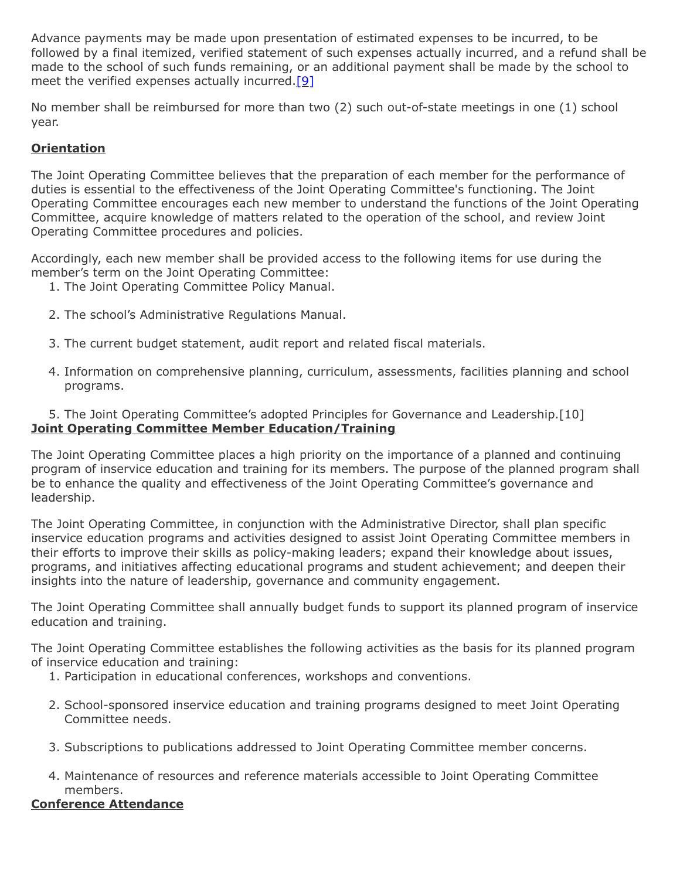Advance payments may be made upon presentation of estimated expenses to be incurred, to be followed by a final itemized, verified statement of such expenses actually incurred, and a refund shall be made to the school of such funds remaining, or an additional payment shall be made by the school to meet the verified expenses actually incurred.[\[9\]](http://www.legis.state.pa.us/cfdocs/legis/LI/uconsCheck.cfm?txtType=HTM&yr=1949&sessInd=0&smthLwInd=0&act=14&chpt=5&sctn=16&subsctn=1)

No member shall be reimbursed for more than two (2) such out-of-state meetings in one (1) school year.

# **Orientation**

The Joint Operating Committee believes that the preparation of each member for the performance of duties is essential to the effectiveness of the Joint Operating Committee's functioning. The Joint Operating Committee encourages each new member to understand the functions of the Joint Operating Committee, acquire knowledge of matters related to the operation of the school, and review Joint Operating Committee procedures and policies.

Accordingly, each new member shall be provided access to the following items for use during the member's term on the Joint Operating Committee:

- 1. The Joint Operating Committee Policy Manual.
- 2. The school's Administrative Regulations Manual.
- 3. The current budget statement, audit report and related fiscal materials.
- 4. Information on comprehensive planning, curriculum, assessments, facilities planning and school programs.

# 5. The Joint Operating Committee's adopted Principles for Governance and Leadership.[10] **Joint Operating Committee Member Education/Training**

The Joint Operating Committee places a high priority on the importance of a planned and continuing program of inservice education and training for its members. The purpose of the planned program shall be to enhance the quality and effectiveness of the Joint Operating Committee's governance and leadership.

The Joint Operating Committee, in conjunction with the Administrative Director, shall plan specific inservice education programs and activities designed to assist Joint Operating Committee members in their efforts to improve their skills as policy-making leaders; expand their knowledge about issues, programs, and initiatives affecting educational programs and student achievement; and deepen their insights into the nature of leadership, governance and community engagement.

The Joint Operating Committee shall annually budget funds to support its planned program of inservice education and training.

The Joint Operating Committee establishes the following activities as the basis for its planned program of inservice education and training:

- 1. Participation in educational conferences, workshops and conventions.
- 2. School-sponsored inservice education and training programs designed to meet Joint Operating Committee needs.
- 3. Subscriptions to publications addressed to Joint Operating Committee member concerns.
- 4. Maintenance of resources and reference materials accessible to Joint Operating Committee members.

### **Conference Attendance**